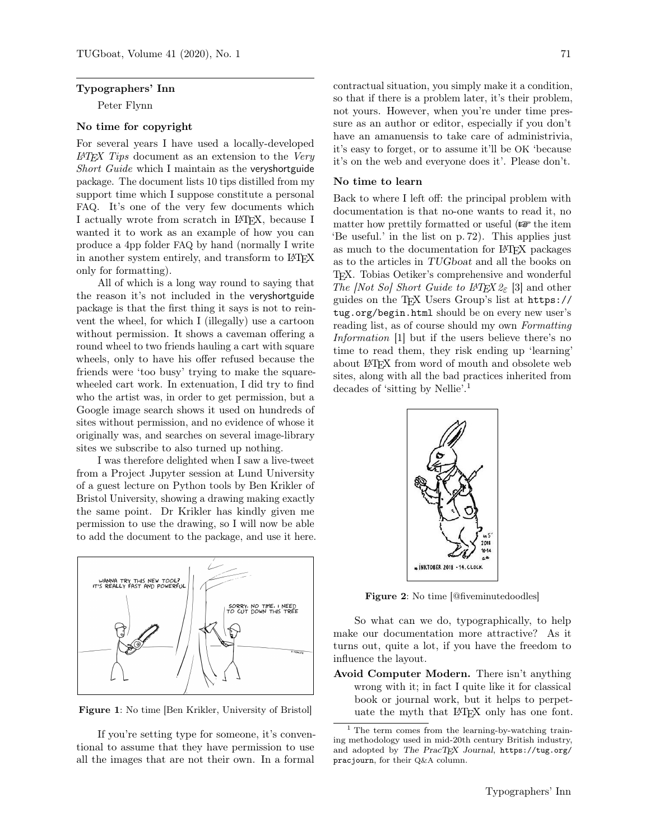#### Typographers' Inn

Peter Flynn

## No time for copyright

For several years I have used a locally-developed  $LATEX$  Tips document as an extension to the Very Short Guide which I maintain as the veryshortguide package. The document lists 10 tips distilled from my support time which I suppose constitute a personal FAQ. It's one of the very few documents which I actually wrote from scratch in LATEX, because I wanted it to work as an example of how you can produce a 4pp folder FAQ by hand (normally I write in another system entirely, and transform to LATEX only for formatting).

All of which is a long way round to saying that the reason it's not included in the veryshortguide package is that the first thing it says is not to reinvent the wheel, for which I (illegally) use a cartoon without permission. It shows a caveman offering a round wheel to two friends hauling a cart with square wheels, only to have his offer refused because the friends were 'too busy' trying to make the squarewheeled cart work. In extenuation, I did try to find who the artist was, in order to get permission, but a Google image search shows it used on hundreds of sites without permission, and no evidence of whose it originally was, and searches on several image-library sites we subscribe to also turned up nothing.

I was therefore delighted when I saw a live-tweet from a Project Jupyter session at Lund University of a guest lecture on Python tools by Ben Krikler of Bristol University, showing a drawing making exactly the same point. Dr Krikler has kindly given me permission to use the drawing, so I will now be able to add the document to the package, and use it here.



Figure 1: No time [Ben Krikler, University of Bristol]

If you're setting type for someone, it's conventional to assume that they have permission to use all the images that are not their own. In a formal

contractual situation, you simply make it a condition, so that if there is a problem later, it's their problem, not yours. However, when you're under time pressure as an author or editor, especially if you don't have an amanuensis to take care of administrivia, it's easy to forget, or to assume it'll be OK 'because it's on the web and everyone does it'. Please don't.

### No time to learn

Back to where I left off: the principal problem with documentation is that no-one wants to read it, no matter how prettily formatted or useful  $(\mathbb{F}^{\bullet})$  the item 'Be useful.' in the list on p. 72). This applies just as much to the documentation for LATEX packages as to the articles in TUGboat and all the books on TEX. Tobias Oetiker's comprehensive and wonderful The [Not So] Short Guide to  $\cancel{I+T} \not\subset Z_{\epsilon}$  [3] and other guides on the TEX Users Group's list at https:// tug.org/begin.html should be on every new user's reading list, as of course should my own Formatting Information [1] but if the users believe there's no time to read them, they risk ending up 'learning' about LATEX from word of mouth and obsolete web sites, along with all the bad practices inherited from decades of 'sitting by Nellie'.<sup>1</sup>



Figure 2: No time [@fiveminutedoodles]

So what can we do, typographically, to help make our documentation more attractive? As it turns out, quite a lot, if you have the freedom to influence the layout.

Avoid Computer Modern. There isn't anything wrong with it; in fact I quite like it for classical book or journal work, but it helps to perpetuate the myth that LATEX only has one font.

<sup>1</sup> The term comes from the learning-by-watching training methodology used in mid-20th century British industry, and adopted by The PracTEX Journal, https://tug.org/ pracjourn, for their Q&A column.